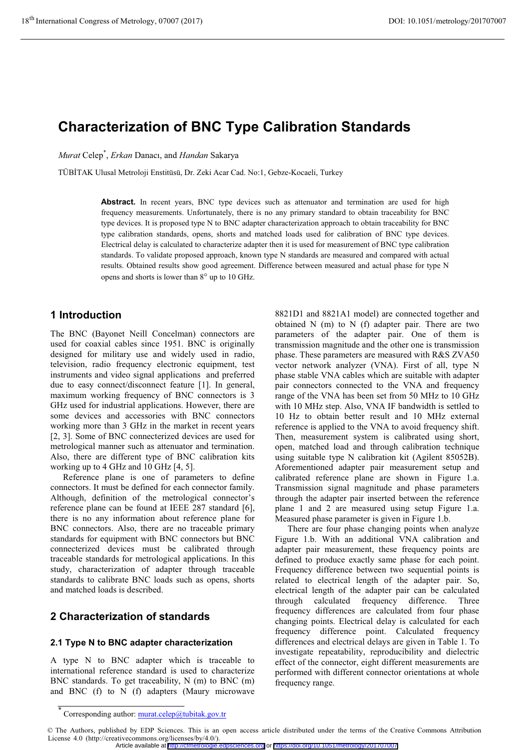# **Characterization of BNC Type Calibration Standards**

Murat Celep<sup>\*</sup>, Erkan Danacı, and Handan Sakarya

TÜBİTAK Ulusal Metroloji Enstitüsü, Dr. Zeki Acar Cad. No:1, Gebze-Kocaeli, Turkey

Abstract. In recent years, BNC type devices such as attenuator and termination are used for high frequency measurements. Unfortunately, there is no any primary standard to obtain traceability for BNC type devices. It is proposed type N to BNC adapter characterization approach to obtain traceability for BNC type calibration standards, opens, shorts and matched loads used for calibration of BNC type devices. Electrical delay is calculated to characterize adapter then it is used for measurement of BNC type calibration standards. To validate proposed approach, known type N standards are measured and compared with actual results. Obtained results show good agreement. Difference between measured and actual phase for type N opens and shorts is lower than 8° up to 10 GHz.

# 1 Introduction

The BNC (Bayonet Neill Concelman) connectors are used for coaxial cables since 1951. BNC is originally designed for military use and widely used in radio, television, radio frequency electronic equipment, test instruments and video signal applications and preferred due to easy connect/disconnect feature [1]. In general, maximum working frequency of BNC connectors is 3 GHz used for industrial applications. However, there are some devices and accessories with BNC connectors working more than 3 GHz in the market in recent years [2, 3]. Some of BNC connecterized devices are used for metrological manner such as attenuator and termination. Also, there are different type of BNC calibration kits working up to 4 GHz and 10 GHz  $[4, 5]$ .

Reference plane is one of parameters to define connectors. It must be defined for each connector family. Although, definition of the metrological connector's reference plane can be found at IEEE 287 standard [6], there is no any information about reference plane for BNC connectors. Also, there are no traceable primary standards for equipment with BNC connectors but BNC connecterized devices must be calibrated through traceable standards for metrological applications. In this study, characterization of adapter through traceable standards to calibrate BNC loads such as opens, shorts and matched loads is described.

# 2 Characterization of standards

# 2.1 Type N to BNC adapter characterization

A type N to BNC adapter which is traceable to international reference standard is used to characterize BNC standards. To get traceability, N (m) to BNC (m) and BNC (f) to N (f) adapters (Maury microwave

8821D1 and 8821A1 model) are connected together and obtained  $N$  (m) to  $N$  (f) adapter pair. There are two parameters of the adapter pair. One of them is transmission magnitude and the other one is transmission phase. These parameters are measured with R&S ZVA50 vector network analyzer (VNA). First of all, type N phase stable VNA cables which are suitable with adapter pair connectors connected to the VNA and frequency range of the VNA has been set from 50 MHz to 10 GHz with 10 MHz step. Also, VNA IF bandwidth is settled to 10 Hz to obtain better result and 10 MHz external reference is applied to the VNA to avoid frequency shift. Then, measurement system is calibrated using short, open, matched load and through calibration technique using suitable type N calibration kit (Agilent 85052B). Aforementioned adapter pair measurement setup and calibrated reference plane are shown in Figure 1.a. Transmission signal magnitude and phase parameters through the adapter pair inserted between the reference plane 1 and 2 are measured using setup Figure 1.a. Measured phase parameter is given in Figure 1.b.

There are four phase changing points when analyze Figure 1.b. With an additional VNA calibration and adapter pair measurement, these frequency points are defined to produce exactly same phase for each point. Frequency difference between two sequential points is related to electrical length of the adapter pair. So, electrical length of the adapter pair can be calculated through calculated frequency difference. Three frequency differences are calculated from four phase changing points. Electrical delay is calculated for each frequency difference point. Calculated frequency differences and electrical delays are given in Table 1. To investigate repeatability, reproducibility and dielectric effect of the connector, eight different measurements are performed with different connector orientations at whole frequency range.

Corresponding author: murat.celep@tubitak.gov.tr

<sup>©</sup> The Authors, published by EDP Sciences. This is an open access article distributed under the terms of the Creative Commons Attribution License 4.0 (http://creativecommons.org/licenses/by/4.0/).

Article available at http://cfmetrologie.edpsciences.org or https://doi.org/10.1051/metrology/201707007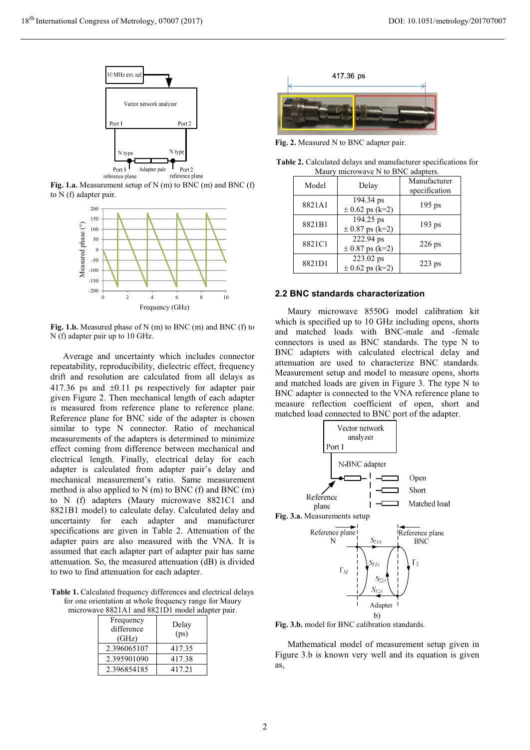

Fig. 1.a. Measurement setup of N  $(m)$  to BNC  $(m)$  and BNC  $(f)$ to N (f) adapter pair.



Fig. 1.b. Measured phase of N (m) to BNC (m) and BNC (f) to N (f) adapter pair up to 10 GHz.

Average and uncertainty which includes connector repeatability, reproducibility, dielectric effect, frequency drift and resolution are calculated from all delays as 417.36 ps and  $\pm 0.11$  ps respectively for adapter pair given Figure 2. Then mechanical length of each adapter is measured from reference plane to reference plane. Reference plane for BNC side of the adapter is chosen similar to type N connector. Ratio of mechanical measurements of the adapters is determined to minimize effect coming from difference between mechanical and electrical length. Finally, electrical delay for each adapter is calculated from adapter pair's delay and mechanical measurement's ratio. Same measurement method is also applied to  $N(m)$  to BNC (f) and BNC (m) to N (f) adapters (Maury microwave 8821C1 and 8821B1 model) to calculate delay. Calculated delay and uncertainty for each adapter and manufacturer specifications are given in Table 2. Attenuation of the adapter pairs are also measured with the VNA. It is assumed that each adapter part of adapter pair has same attenuation. So, the measured attenuation (dB) is divided to two to find attenuation for each adapter.

Table 1. Calculated frequency differences and electrical delays for one orientation at whole frequency range for Maury microwave 8821A1 and 8821D1 model adapter pair.

| Frequency<br>difference<br>(GHz) | Delay<br>(ps) |
|----------------------------------|---------------|
| 2.396065107                      | 417.35        |
| 2.395901090                      | 417.38        |
| 2.396854185                      | 417.21        |



Fig. 2. Measured N to BNC adapter pair.

Table 2. Calculated delays and manufacturer specifications for Maury microwave N to BNC adapters.

| Model  | Delay                            | Manufacturer<br>specification |
|--------|----------------------------------|-------------------------------|
| 8821A1 | 194.34 ps<br>$\pm$ 0.62 ps (k=2) | $195$ ps                      |
| 8821B1 | 194.25 ps<br>$\pm$ 0.87 ps (k=2) | 193 <sub>ps</sub>             |
| 8821C1 | 222.94 ps<br>$\pm$ 0.87 ps (k=2) | $226$ ps                      |
| 8821D1 | 223.02 ps<br>$\pm$ 0.62 ps (k=2) | $223$ ps                      |

#### 2.2 BNC standards characterization

Maury microwave 8550G model calibration kit which is specified up to 10 GHz including opens, shorts and matched loads with BNC-male and -female connectors is used as BNC standards. The type N to BNC adapters with calculated electrical delay and attenuation are used to characterize BNC standards. Measurement setup and model to measure opens, shorts and matched loads are given in Figure 3. The type N to BNC adapter is connected to the VNA reference plane to measure reflection coefficient of open, short and matched load connected to BNC port of the adapter.



Fig. 3.b. model for BNC calibration standards.

Mathematical model of measurement setup given in Figure 3.b is known very well and its equation is given as.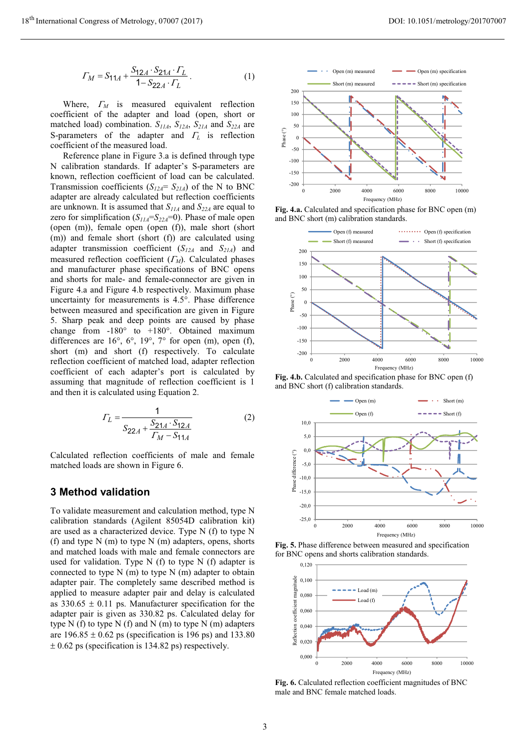$$
\Gamma_M = S_{11A} + \frac{S_{12A} \cdot S_{21A} \cdot \Gamma_L}{1 - S_{22A} \cdot \Gamma_L} \,. \tag{1}
$$

Where,  $\Gamma_M$  is measured equivalent reflection coefficient of the adapter and load (open, short or matched load) combination.  $S_{IIA}$ ,  $S_{I2A}$ ,  $S_{2IA}$  and  $S_{22A}$  are S-parameters of the adapter and  $\Gamma_L$  is reflection coefficient of the measured load.

Reference plane in Figure 3.a is defined through type N calibration standards. If adapter's S-parameters are known, reflection coefficient of load can be calculated. Transmission coefficients ( $S_{12A} = S_{21A}$ ) of the N to BNC adapter are already calculated but reflection coefficients are unknown. It is assumed that  $S_{IIA}$  and  $S_{22A}$  are equal to zero for simplification ( $S_{IIA} = S_{22A} = 0$ ). Phase of male open (open (m)), female open (open (f)), male short (short (m)) and female short (short (f)) are calculated using adapter transmission coefficient ( $S_{12A}$  and  $S_{21A}$ ) and measured reflection coefficient  $(\Gamma_M)$ . Calculated phases and manufacturer phase specifications of BNC opens and shorts for male- and female-connector are given in Figure 4.a and Figure 4.b respectively. Maximum phase uncertainty for measurements is 4.5°. Phase difference between measured and specification are given in Figure 5. Sharp peak and deep points are caused by phase change from  $-180^\circ$  to  $+180^\circ$ . Obtained maximum differences are 16°, 6°, 19°, 7° for open (m), open (f), short (m) and short (f) respectively. To calculate reflection coefficient of matched load, adapter reflection coefficient of each adapter's port is calculated by assuming that magnitude of reflection coefficient is 1 and then it is calculated using Equation 2.

$$
\Gamma_L = \frac{1}{S_{22A} + \frac{S_{21A} \cdot S_{12A}}{\Gamma_M - S_{11A}}}
$$
(2)

Calculated reflection coefficients of male and female matched loads are shown in Figure 6.

### **3 Method validation**

To validate measurement and calculation method, type N calibration standards (Agilent 85054D calibration kit) are used as a characterized device. Type N (f) to type N (f) and type  $N(m)$  to type  $N(m)$  adapters, opens, shorts and matched loads with male and female connectors are used for validation. Type  $N(f)$  to type  $N(f)$  adapter is connected to type  $N(m)$  to type  $N(m)$  adapter to obtain adapter pair. The completely same described method is applied to measure adapter pair and delay is calculated as  $330.65 \pm 0.11$  ps. Manufacturer specification for the adapter pair is given as 330.82 ps. Calculated delay for type N  $(f)$  to type N  $(f)$  and N  $(m)$  to type N  $(m)$  adapters are  $196.85 \pm 0.62$  ps (specification is 196 ps) and 133.80  $\pm$  0.62 ps (specification is 134.82 ps) respectively.



Fig. 4.a. Calculated and specification phase for BNC open (m) and BNC short (m) calibration standards.



Fig. 4.b. Calculated and specification phase for BNC open (f) and BNC short (f) calibration standards.



Fig. 5. Phase difference between measured and specification for BNC opens and shorts calibration standards.



Fig. 6. Calculated reflection coefficient magnitudes of BNC male and BNC female matched loads.